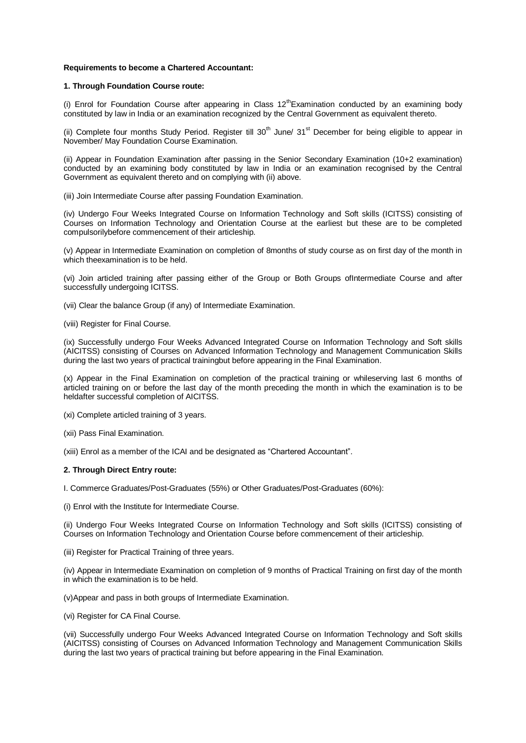## **Requirements to become a Chartered Accountant:**

## **1. Through Foundation Course route:**

(i) Enrol for Foundation Course after appearing in Class  $12^{th}$ Examination conducted by an examining body constituted by law in India or an examination recognized by the Central Government as equivalent thereto.

(ii) Complete four months Study Period. Register till  $30<sup>th</sup>$  June/  $31<sup>st</sup>$  December for being eligible to appear in November/ May Foundation Course Examination.

(ii) Appear in Foundation Examination after passing in the Senior Secondary Examination (10+2 examination) conducted by an examining body constituted by law in India or an examination recognised by the Central Government as equivalent thereto and on complying with (ii) above.

(iii) Join Intermediate Course after passing Foundation Examination.

(iv) Undergo Four Weeks Integrated Course on Information Technology and Soft skills (ICITSS) consisting of Courses on Information Technology and Orientation Course at the earliest but these are to be completed compulsorilybefore commencement of their articleship.

(v) Appear in Intermediate Examination on completion of 8months of study course as on first day of the month in which theexamination is to be held.

(vi) Join articled training after passing either of the Group or Both Groups ofIntermediate Course and after successfully undergoing ICITSS.

(vii) Clear the balance Group (if any) of Intermediate Examination.

(viii) Register for Final Course.

(ix) Successfully undergo Four Weeks Advanced Integrated Course on Information Technology and Soft skills (AICITSS) consisting of Courses on Advanced Information Technology and Management Communication Skills during the last two years of practical trainingbut before appearing in the Final Examination.

(x) Appear in the Final Examination on completion of the practical training or whileserving last 6 months of articled training on or before the last day of the month preceding the month in which the examination is to be heldafter successful completion of AICITSS.

(xi) Complete articled training of 3 years.

(xii) Pass Final Examination.

(xiii) Enrol as a member of the ICAI and be designated as "Chartered Accountant".

## **2. Through Direct Entry route:**

I. Commerce Graduates/Post-Graduates (55%) or Other Graduates/Post-Graduates (60%):

(i) Enrol with the Institute for Intermediate Course.

(ii) Undergo Four Weeks Integrated Course on Information Technology and Soft skills (ICITSS) consisting of Courses on Information Technology and Orientation Course before commencement of their articleship.

(iii) Register for Practical Training of three years.

(iv) Appear in Intermediate Examination on completion of 9 months of Practical Training on first day of the month in which the examination is to be held.

(v)Appear and pass in both groups of Intermediate Examination.

(vi) Register for CA Final Course.

(vii) Successfully undergo Four Weeks Advanced Integrated Course on Information Technology and Soft skills (AICITSS) consisting of Courses on Advanced Information Technology and Management Communication Skills during the last two years of practical training but before appearing in the Final Examination.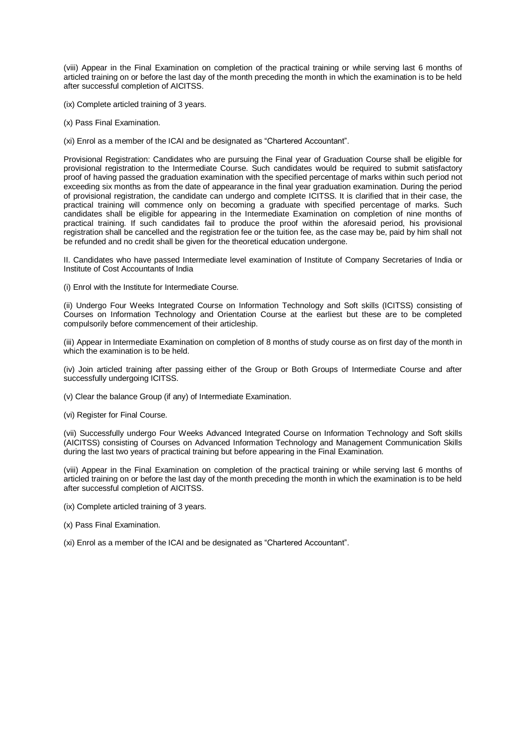(viii) Appear in the Final Examination on completion of the practical training or while serving last 6 months of articled training on or before the last day of the month preceding the month in which the examination is to be held after successful completion of AICITSS.

- (ix) Complete articled training of 3 years.
- (x) Pass Final Examination.
- (xi) Enrol as a member of the ICAI and be designated as "Chartered Accountant".

Provisional Registration: Candidates who are pursuing the Final year of Graduation Course shall be eligible for provisional registration to the Intermediate Course. Such candidates would be required to submit satisfactory proof of having passed the graduation examination with the specified percentage of marks within such period not exceeding six months as from the date of appearance in the final year graduation examination. During the period of provisional registration, the candidate can undergo and complete ICITSS. It is clarified that in their case, the practical training will commence only on becoming a graduate with specified percentage of marks. Such candidates shall be eligible for appearing in the Intermediate Examination on completion of nine months of practical training. If such candidates fail to produce the proof within the aforesaid period, his provisional registration shall be cancelled and the registration fee or the tuition fee, as the case may be, paid by him shall not be refunded and no credit shall be given for the theoretical education undergone.

II. Candidates who have passed Intermediate level examination of Institute of Company Secretaries of India or Institute of Cost Accountants of India

(i) Enrol with the Institute for Intermediate Course.

(ii) Undergo Four Weeks Integrated Course on Information Technology and Soft skills (ICITSS) consisting of Courses on Information Technology and Orientation Course at the earliest but these are to be completed compulsorily before commencement of their articleship.

(iii) Appear in Intermediate Examination on completion of 8 months of study course as on first day of the month in which the examination is to be held.

(iv) Join articled training after passing either of the Group or Both Groups of Intermediate Course and after successfully undergoing ICITSS.

- (v) Clear the balance Group (if any) of Intermediate Examination.
- (vi) Register for Final Course.

(vii) Successfully undergo Four Weeks Advanced Integrated Course on Information Technology and Soft skills (AICITSS) consisting of Courses on Advanced Information Technology and Management Communication Skills during the last two years of practical training but before appearing in the Final Examination.

(viii) Appear in the Final Examination on completion of the practical training or while serving last 6 months of articled training on or before the last day of the month preceding the month in which the examination is to be held after successful completion of AICITSS.

- (ix) Complete articled training of 3 years.
- (x) Pass Final Examination.
- (xi) Enrol as a member of the ICAI and be designated as "Chartered Accountant".